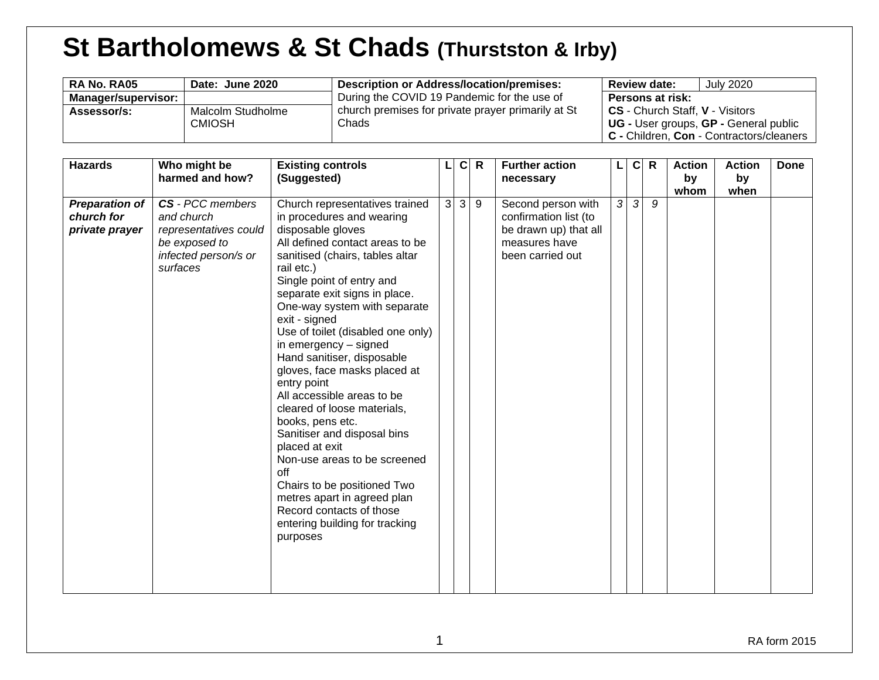# **St Bartholomews & St Chads (Thurstston & Irby)**

| RA No. RA05         | Date: June 2020   | Description or Address/location/premises:          | <b>July 2020</b><br><b>Review date:</b>  |
|---------------------|-------------------|----------------------------------------------------|------------------------------------------|
| Manager/supervisor: |                   | During the COVID 19 Pandemic for the use of        | <b>Persons at risk:</b>                  |
| Assessor/s:         | Malcolm Studholme | church premises for private prayer primarily at St | CS - Church Staff, V - Visitors          |
|                     | <b>CMIOSH</b>     | Chads                                              | UG - User groups, GP - General public    |
|                     |                   |                                                    | C - Children, Con - Contractors/cleaners |

| <b>Hazards</b>                                        | Who might be<br>harmed and how?                                                                                     | <b>Existing controls</b><br>(Suggested)                                                                                                                                                                                                                                                                                                                                                                                                                                                                                                                                                                                                                                                                                                         |                | $\mathbf{C}$ | $\mathsf{R}$ | <b>Further action</b><br>necessary                                                                        |   | $\mathbf c$ | R | <b>Action</b><br>by<br>whom | <b>Action</b><br>by<br>when | <b>Done</b> |
|-------------------------------------------------------|---------------------------------------------------------------------------------------------------------------------|-------------------------------------------------------------------------------------------------------------------------------------------------------------------------------------------------------------------------------------------------------------------------------------------------------------------------------------------------------------------------------------------------------------------------------------------------------------------------------------------------------------------------------------------------------------------------------------------------------------------------------------------------------------------------------------------------------------------------------------------------|----------------|--------------|--------------|-----------------------------------------------------------------------------------------------------------|---|-------------|---|-----------------------------|-----------------------------|-------------|
| <b>Preparation of</b><br>church for<br>private prayer | <b>CS</b> - PCC members<br>and church<br>representatives could<br>be exposed to<br>infected person/s or<br>surfaces | Church representatives trained<br>in procedures and wearing<br>disposable gloves<br>All defined contact areas to be<br>sanitised (chairs, tables altar<br>rail etc.)<br>Single point of entry and<br>separate exit signs in place.<br>One-way system with separate<br>exit - signed<br>Use of toilet (disabled one only)<br>in emergency - signed<br>Hand sanitiser, disposable<br>gloves, face masks placed at<br>entry point<br>All accessible areas to be<br>cleared of loose materials,<br>books, pens etc.<br>Sanitiser and disposal bins<br>placed at exit<br>Non-use areas to be screened<br>off<br>Chairs to be positioned Two<br>metres apart in agreed plan<br>Record contacts of those<br>entering building for tracking<br>purposes | 3 <sup>1</sup> | 3            | 9            | Second person with<br>confirmation list (to<br>be drawn up) that all<br>measures have<br>been carried out | 3 | 3           | 9 |                             |                             |             |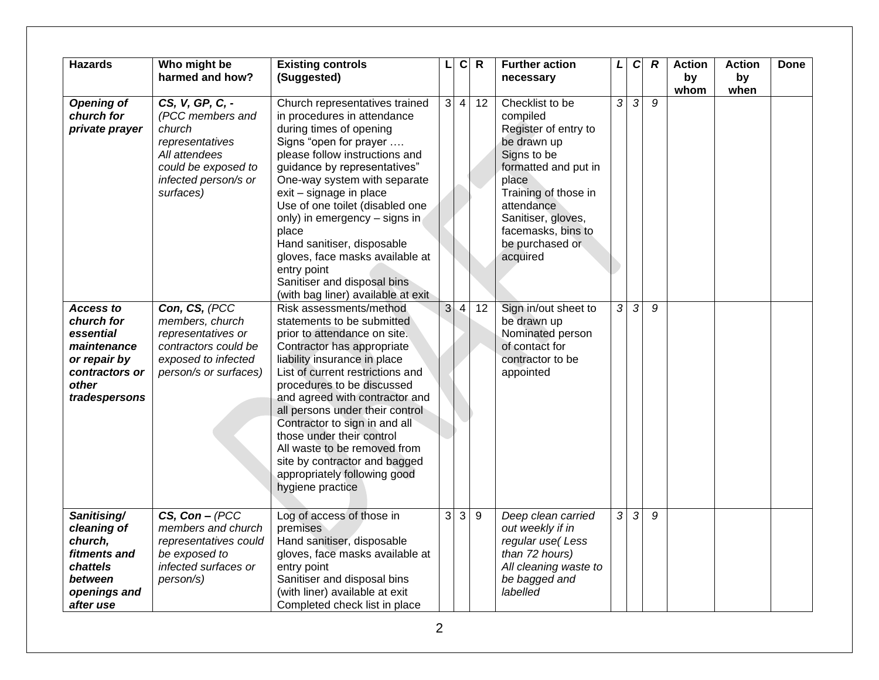| <b>Hazards</b>                                                                                                         | Who might be<br>harmed and how?                                                                                                               | <b>Existing controls</b><br>(Suggested)                                                                                                                                                                                                                                                                                                                                                                                                                                           |                | $\mathbf c$    | R     | <b>Further action</b><br>necessary                                                                                                                                                                                                  | L                   | $\mathbf C$    | R | <b>Action</b><br>by<br>whom | <b>Action</b><br>by<br>when | Done |
|------------------------------------------------------------------------------------------------------------------------|-----------------------------------------------------------------------------------------------------------------------------------------------|-----------------------------------------------------------------------------------------------------------------------------------------------------------------------------------------------------------------------------------------------------------------------------------------------------------------------------------------------------------------------------------------------------------------------------------------------------------------------------------|----------------|----------------|-------|-------------------------------------------------------------------------------------------------------------------------------------------------------------------------------------------------------------------------------------|---------------------|----------------|---|-----------------------------|-----------------------------|------|
| <b>Opening of</b><br>church for<br>private prayer                                                                      | CS, V, GP, C, -<br>(PCC members and<br>church<br>representatives<br>All attendees<br>could be exposed to<br>infected person/s or<br>surfaces) | Church representatives trained<br>in procedures in attendance<br>during times of opening<br>Signs "open for prayer<br>please follow instructions and<br>guidance by representatives"<br>One-way system with separate<br>exit - signage in place<br>Use of one toilet (disabled one<br>only) in emergency - signs in<br>place<br>Hand sanitiser, disposable<br>gloves, face masks available at<br>entry point<br>Sanitiser and disposal bins<br>(with bag liner) available at exit | 3 <sup>1</sup> | $\overline{4}$ | 12    | Checklist to be<br>compiled<br>Register of entry to<br>be drawn up<br>Signs to be<br>formatted and put in<br>place<br>Training of those in<br>attendance<br>Sanitiser, gloves,<br>facemasks, bins to<br>be purchased or<br>acquired | $\mathfrak{Z}$      | 3              | 9 |                             |                             |      |
| <b>Access to</b><br>church for<br>essential<br>maintenance<br>or repair by<br>contractors or<br>other<br>tradespersons | Con, CS, (PCC<br>members, church<br>representatives or<br>contractors could be<br>exposed to infected<br>person/s or surfaces)                | Risk assessments/method<br>statements to be submitted<br>prior to attendance on site.<br>Contractor has appropriate<br>liability insurance in place<br>List of current restrictions and<br>procedures to be discussed<br>and agreed with contractor and<br>all persons under their control<br>Contractor to sign in and all<br>those under their control<br>All waste to be removed from<br>site by contractor and bagged<br>appropriately following good<br>hygiene practice     | 3 <sup>1</sup> | $\overline{4}$ | 12    | Sign in/out sheet to<br>be drawn up<br>Nominated person<br>of contact for<br>contractor to be<br>appointed                                                                                                                          | $\overline{\omega}$ | $\mathfrak{Z}$ | 9 |                             |                             |      |
| Sanitising/<br>cleaning of<br>church,<br>fitments and<br>chattels<br>between<br>openings and<br>after use              | $CS, Con - (PCC)$<br>members and church<br>representatives could<br>be exposed to<br>infected surfaces or<br>person/s)                        | Log of access of those in<br>premises<br>Hand sanitiser, disposable<br>gloves, face masks available at<br>entry point<br>Sanitiser and disposal bins<br>(with liner) available at exit<br>Completed check list in place                                                                                                                                                                                                                                                           | 3              | 3              | $9\,$ | Deep clean carried<br>out weekly if in<br>regular use(Less<br>than 72 hours)<br>All cleaning waste to<br>be bagged and<br>labelled                                                                                                  | $\mathcal{S}$       | 3              | 9 |                             |                             |      |